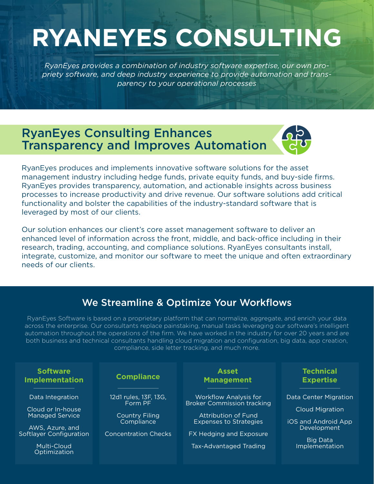# **RYANEYES CONSULTING**

*RyanEyes provides a combination of industry software expertise, our own propriety software, and deep industry experience to provide automation and transparency to your operational processes*

## RyanEyes Consulting Enhances Transparency and Improves Automation



RyanEyes produces and implements innovative software solutions for the asset management industry including hedge funds, private equity funds, and buy-side firms. RyanEyes provides transparency, automation, and actionable insights across business processes to increase productivity and drive revenue. Our software solutions add critical functionality and bolster the capabilities of the industry-standard software that is leveraged by most of our clients.

Our solution enhances our client's core asset management software to deliver an enhanced level of information across the front, middle, and back-office including in their research, trading, accounting, and compliance solutions. RyanEyes consultants install, integrate, customize, and monitor our software to meet the unique and often extraordinary needs of our clients.

#### We Streamline & Optimize Your Workflows

RyanEyes Software is based on a proprietary platform that can normalize, aggregate, and enrich your data across the enterprise. Our consultants replace painstaking, manual tasks leveraging our software's intelligent automation throughout the operations of the firm. We have worked in the industry for over 20 years and are both business and technical consultants handling cloud migration and configuration, big data, app creation, compliance, side letter tracking, and much more.

| <b>Software</b>                                                                                                                              | <b>Compliance</b>                                                                                      | <b>Asset</b>                                                                                                                                                                   | <b>Technical</b>                                                                                                    |
|----------------------------------------------------------------------------------------------------------------------------------------------|--------------------------------------------------------------------------------------------------------|--------------------------------------------------------------------------------------------------------------------------------------------------------------------------------|---------------------------------------------------------------------------------------------------------------------|
| <b>Implementation</b>                                                                                                                        |                                                                                                        | <b>Management</b>                                                                                                                                                              | <b>Expertise</b>                                                                                                    |
| Data Integration<br>Cloud or In-house<br><b>Managed Service</b><br>AWS, Azure, and<br>Softlayer Configuration<br>Multi-Cloud<br>Optimization | 12d1 rules, 13F, 13G,<br>Form PF<br><b>Country Filing</b><br>Compliance<br><b>Concentration Checks</b> | <b>Workflow Analysis for</b><br><b>Broker Commission tracking</b><br>Attribution of Fund<br><b>Expenses to Strategies</b><br>FX Hedging and Exposure<br>Tax-Advantaged Trading | Data Center Migration<br><b>Cloud Migration</b><br>iOS and Android App<br>Development<br>Big Data<br>Implementation |